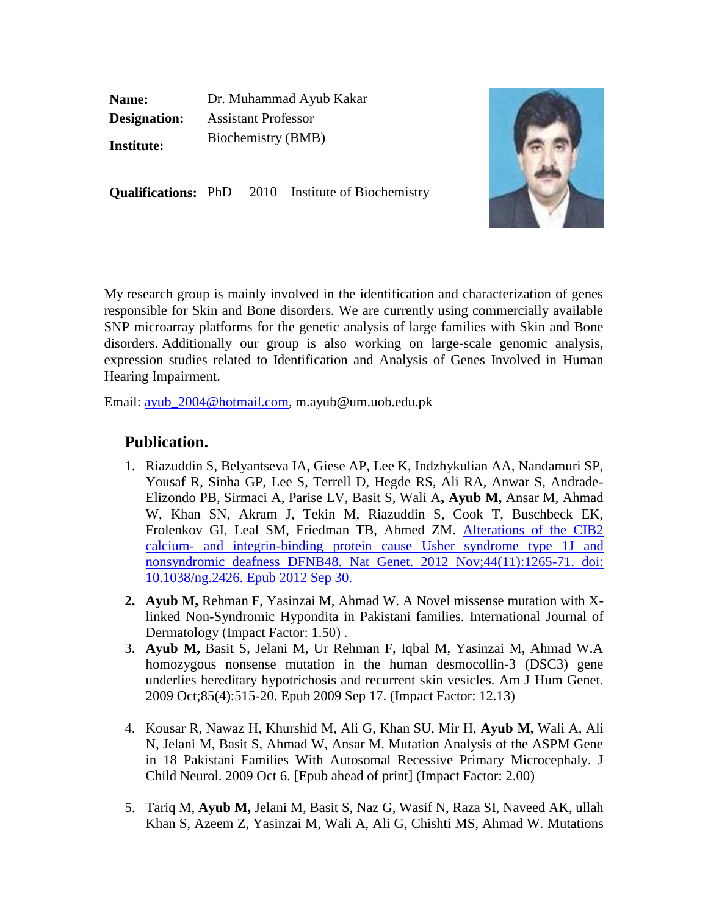**Name:** Dr. Muhammad Ayub Kakar **Designation:** Assistant Professor **Institute:** Biochemistry (BMB)



**Qualifications:** PhD 2010 Institute of Biochemistry

My research group is mainly involved in the identification and characterization of genes responsible for Skin and Bone disorders. We are currently using commercially available SNP microarray platforms for the genetic analysis of large families with Skin and Bone disorders. Additionally our group is also working on large-scale genomic analysis, expression studies related to Identification and Analysis of Genes Involved in Human Hearing Impairment.

Email: [ayub\\_2004@hotmail.com,](mailto:ayub_2004@hotmail.com) m.ayub@um.uob.edu.pk

## **Publication.**

- 1. Riazuddin S, Belyantseva IA, Giese AP, Lee K, Indzhykulian AA, Nandamuri SP, Yousaf R, Sinha GP, Lee S, Terrell D, Hegde RS, Ali RA, Anwar S, Andrade-Elizondo PB, Sirmaci A, Parise LV, Basit S, Wali A**, Ayub M,** Ansar M, Ahmad W, Khan SN, Akram J, Tekin M, Riazuddin S, Cook T, Buschbeck EK, Frolenkov GI, Leal SM, Friedman TB, Ahmed ZM. [Alterations of the CIB2](http://www.nature.com/ng/journal/v44/n11/full/ng.2426.html)  calcium- [and integrin-binding protein cause Usher syndrome type 1J and](http://www.nature.com/ng/journal/v44/n11/full/ng.2426.html)  [nonsyndromic deafness DFNB48. Nat Genet. 2012 Nov;44\(11\):1265-71. doi:](http://www.nature.com/ng/journal/v44/n11/full/ng.2426.html)  [10.1038/ng.2426. Epub 2012 Sep 30.](http://www.nature.com/ng/journal/v44/n11/full/ng.2426.html)
- **2. Ayub M,** Rehman F, Yasinzai M, Ahmad W. A Novel missense mutation with Xlinked Non-Syndromic Hypondita in Pakistani families. International Journal of Dermatology (Impact Factor: 1.50) .
- 3. **Ayub M,** Basit S, Jelani M, Ur Rehman F, Iqbal M, Yasinzai M, Ahmad W.A homozygous nonsense mutation in the human desmocollin-3 (DSC3) gene underlies hereditary hypotrichosis and recurrent skin vesicles. Am J Hum Genet. 2009 Oct;85(4):515-20. Epub 2009 Sep 17. (Impact Factor: 12.13)
- 4. Kousar R, Nawaz H, Khurshid M, Ali G, Khan SU, Mir H, **Ayub M,** Wali A, Ali N, Jelani M, Basit S, Ahmad W, Ansar M. Mutation Analysis of the ASPM Gene in 18 Pakistani Families With Autosomal Recessive Primary Microcephaly. J Child Neurol. 2009 Oct 6. [Epub ahead of print] (Impact Factor: 2.00)
- 5. Tariq M, **Ayub M,** Jelani M, Basit S, Naz G, Wasif N, Raza SI, Naveed AK, ullah Khan S, Azeem Z, Yasinzai M, Wali A, Ali G, Chishti MS, Ahmad W. Mutations